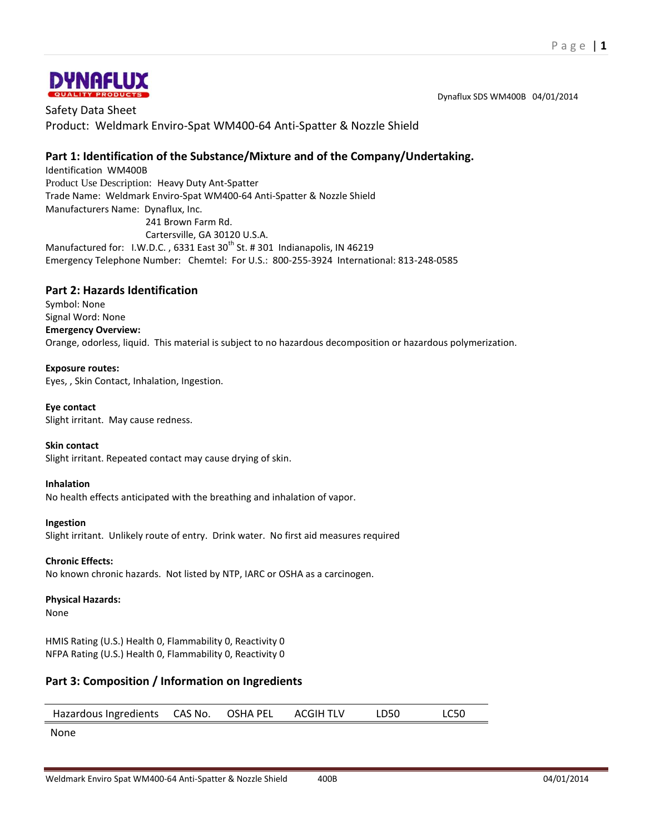

Dynaflux SDS WM400B 04/01/2014

Safety Data Sheet Product: Weldmark Enviro-Spat WM400-64 Anti-Spatter & Nozzle Shield

## **Part 1: Identification of the Substance/Mixture and of the Company/Undertaking.**

Identification WM400B Product Use Description: Heavy Duty Ant-Spatter Trade Name: Weldmark Enviro-Spat WM400-64 Anti-Spatter & Nozzle Shield Manufacturers Name: Dynaflux, Inc. 241 Brown Farm Rd. Cartersville, GA 30120 U.S.A.

Manufactured for: I.W.D.C., 6331 East 30<sup>th</sup> St. # 301 Indianapolis, IN 46219 Emergency Telephone Number: Chemtel: For U.S.: 800-255-3924 International: 813-248-0585

## **Part 2: Hazards Identification**

Symbol: None Signal Word: None **Emergency Overview:** Orange, odorless, liquid. This material is subject to no hazardous decomposition or hazardous polymerization.

#### **Exposure routes:**

Eyes, , Skin Contact, Inhalation, Ingestion.

#### **Eye contact**

Slight irritant. May cause redness.

#### **Skin contact**

Slight irritant. Repeated contact may cause drying of skin.

#### **Inhalation**

No health effects anticipated with the breathing and inhalation of vapor.

#### **Ingestion**

Slight irritant. Unlikely route of entry. Drink water. No first aid measures required

#### **Chronic Effects:**

No known chronic hazards. Not listed by NTP, IARC or OSHA as a carcinogen.

#### **Physical Hazards:**

None

HMIS Rating (U.S.) Health 0, Flammability 0, Reactivity 0 NFPA Rating (U.S.) Health 0, Flammability 0, Reactivity 0

## **Part 3: Composition / Information on Ingredients**

Hazardous Ingredients CAS No. OSHA PEL ACGIH TLV LD50 LC50

None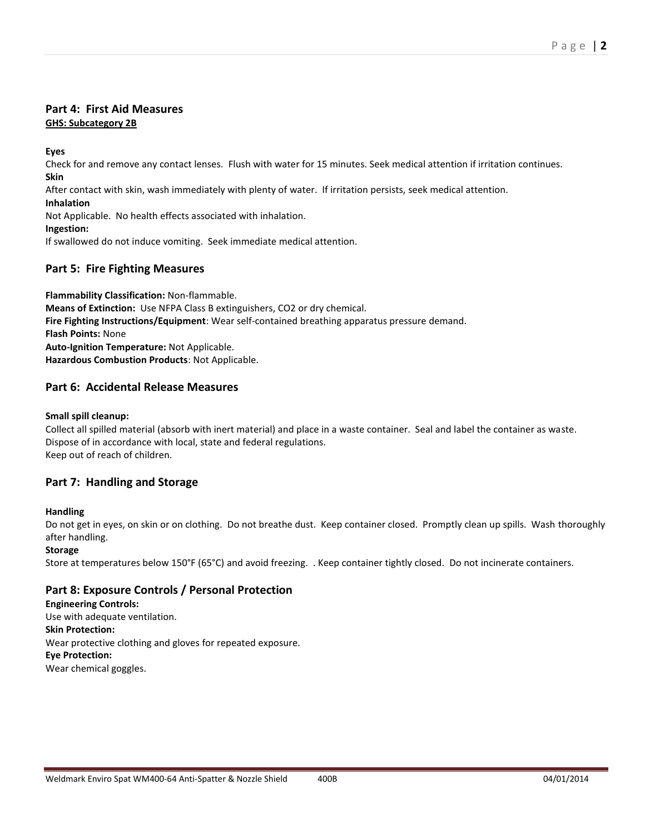### **Part 4: First Aid Measures GHS: Subcategory 2B**

**Eyes**

Check for and remove any contact lenses. Flush with water for 15 minutes. Seek medical attention if irritation continues. **Skin**

After contact with skin, wash immediately with plenty of water. If irritation persists, seek medical attention.

**Inhalation**

Not Applicable. No health effects associated with inhalation.

#### **Ingestion:**

If swallowed do not induce vomiting. Seek immediate medical attention.

# **Part 5: Fire Fighting Measures**

**Flammability Classification:** Non-flammable. **Means of Extinction:** Use NFPA Class B extinguishers, CO2 or dry chemical. **Fire Fighting Instructions/Equipment**: Wear self-contained breathing apparatus pressure demand. **Flash Points:** None **Auto-Ignition Temperature:** Not Applicable. **Hazardous Combustion Products**: Not Applicable.

# **Part 6: Accidental Release Measures**

#### **Small spill cleanup:**

Collect all spilled material (absorb with inert material) and place in a waste container. Seal and label the container as waste. Dispose of in accordance with local, state and federal regulations. Keep out of reach of children.

## **Part 7: Handling and Storage**

### **Handling**

Do not get in eyes, on skin or on clothing. Do not breathe dust. Keep container closed. Promptly clean up spills. Wash thoroughly after handling.

### **Storage**

Store at temperatures below 150°F (65°C) and avoid freezing. . Keep container tightly closed. Do not incinerate containers.

## **Part 8: Exposure Controls / Personal Protection**

**Engineering Controls:** Use with adequate ventilation. **Skin Protection:** Wear protective clothing and gloves for repeated exposure. **Eye Protection:** Wear chemical goggles.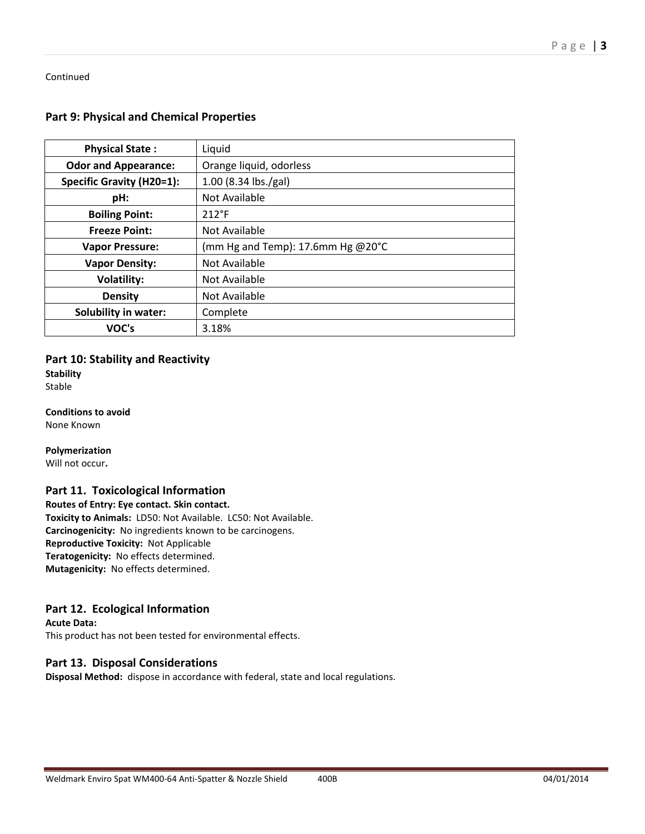Continued

## **Part 9: Physical and Chemical Properties**

| <b>Physical State:</b>      | Liquid                            |
|-----------------------------|-----------------------------------|
| <b>Odor and Appearance:</b> | Orange liquid, odorless           |
| Specific Gravity (H20=1):   | 1.00 (8.34 lbs./gal)              |
| pH:                         | Not Available                     |
| <b>Boiling Point:</b>       | $212^{\circ}F$                    |
| <b>Freeze Point:</b>        | Not Available                     |
| <b>Vapor Pressure:</b>      | (mm Hg and Temp): 17.6mm Hg @20°C |
| <b>Vapor Density:</b>       | Not Available                     |
| <b>Volatility:</b>          | Not Available                     |
| <b>Density</b>              | Not Available                     |
| <b>Solubility in water:</b> | Complete                          |
| VOC's                       | 3.18%                             |

#### **Part 10: Stability and Reactivity**

**Stability** Stable

**Conditions to avoid** None Known

**Polymerization** Will not occur**.**

## **Part 11. Toxicological Information**

**Routes of Entry: Eye contact. Skin contact. Toxicity to Animals:** LD50: Not Available. LC50: Not Available. **Carcinogenicity:** No ingredients known to be carcinogens. **Reproductive Toxicity:** Not Applicable **Teratogenicity:** No effects determined. **Mutagenicity:** No effects determined.

## **Part 12. Ecological Information**

**Acute Data:** This product has not been tested for environmental effects.

## **Part 13. Disposal Considerations**

**Disposal Method:** dispose in accordance with federal, state and local regulations.